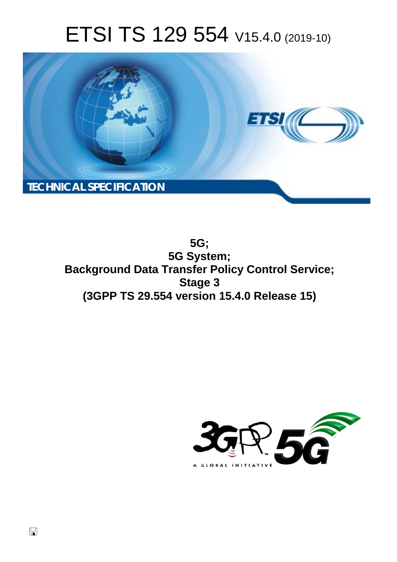# ETSI TS 129 554 V15.4.0 (2019-10)



**5G; 5G System; Background Data Transfer Policy Control Service; Stage 3 (3GPP TS 29.554 version 15.4.0 Release 15)** 

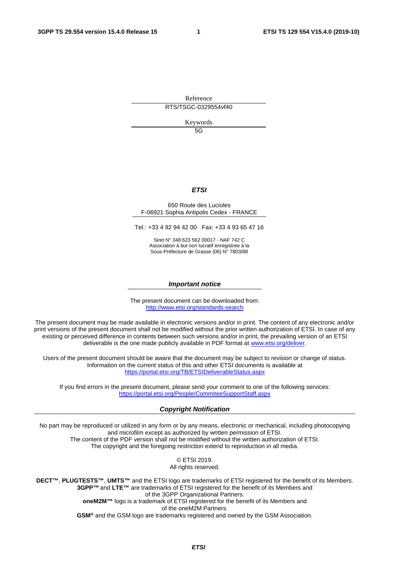Reference

RTS/TSGC-0329554vf40

Keywords

5G

#### *ETSI*

#### 650 Route des Lucioles F-06921 Sophia Antipolis Cedex - FRANCE

Tel.: +33 4 92 94 42 00 Fax: +33 4 93 65 47 16

Siret N° 348 623 562 00017 - NAF 742 C Association à but non lucratif enregistrée à la Sous-Préfecture de Grasse (06) N° 7803/88

#### *Important notice*

The present document can be downloaded from: <http://www.etsi.org/standards-search>

The present document may be made available in electronic versions and/or in print. The content of any electronic and/or print versions of the present document shall not be modified without the prior written authorization of ETSI. In case of any existing or perceived difference in contents between such versions and/or in print, the prevailing version of an ETSI deliverable is the one made publicly available in PDF format at [www.etsi.org/deliver](http://www.etsi.org/deliver).

Users of the present document should be aware that the document may be subject to revision or change of status. Information on the current status of this and other ETSI documents is available at <https://portal.etsi.org/TB/ETSIDeliverableStatus.aspx>

If you find errors in the present document, please send your comment to one of the following services: <https://portal.etsi.org/People/CommiteeSupportStaff.aspx>

#### *Copyright Notification*

No part may be reproduced or utilized in any form or by any means, electronic or mechanical, including photocopying and microfilm except as authorized by written permission of ETSI. The content of the PDF version shall not be modified without the written authorization of ETSI. The copyright and the foregoing restriction extend to reproduction in all media.

> © ETSI 2019. All rights reserved.

**DECT™**, **PLUGTESTS™**, **UMTS™** and the ETSI logo are trademarks of ETSI registered for the benefit of its Members. **3GPP™** and **LTE™** are trademarks of ETSI registered for the benefit of its Members and of the 3GPP Organizational Partners. **oneM2M™** logo is a trademark of ETSI registered for the benefit of its Members and of the oneM2M Partners. **GSM®** and the GSM logo are trademarks registered and owned by the GSM Association.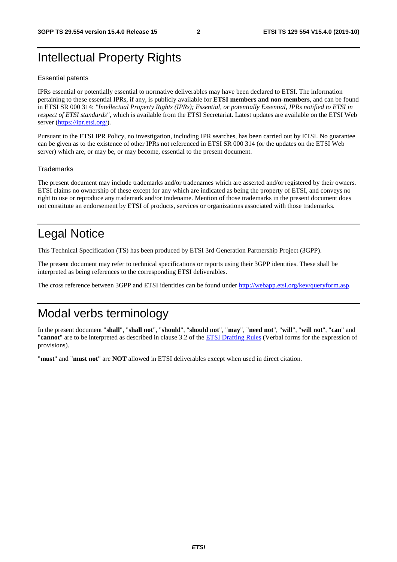# Intellectual Property Rights

#### Essential patents

IPRs essential or potentially essential to normative deliverables may have been declared to ETSI. The information pertaining to these essential IPRs, if any, is publicly available for **ETSI members and non-members**, and can be found in ETSI SR 000 314: *"Intellectual Property Rights (IPRs); Essential, or potentially Essential, IPRs notified to ETSI in respect of ETSI standards"*, which is available from the ETSI Secretariat. Latest updates are available on the ETSI Web server ([https://ipr.etsi.org/\)](https://ipr.etsi.org/).

Pursuant to the ETSI IPR Policy, no investigation, including IPR searches, has been carried out by ETSI. No guarantee can be given as to the existence of other IPRs not referenced in ETSI SR 000 314 (or the updates on the ETSI Web server) which are, or may be, or may become, essential to the present document.

#### **Trademarks**

The present document may include trademarks and/or tradenames which are asserted and/or registered by their owners. ETSI claims no ownership of these except for any which are indicated as being the property of ETSI, and conveys no right to use or reproduce any trademark and/or tradename. Mention of those trademarks in the present document does not constitute an endorsement by ETSI of products, services or organizations associated with those trademarks.

# Legal Notice

This Technical Specification (TS) has been produced by ETSI 3rd Generation Partnership Project (3GPP).

The present document may refer to technical specifications or reports using their 3GPP identities. These shall be interpreted as being references to the corresponding ETSI deliverables.

The cross reference between 3GPP and ETSI identities can be found under<http://webapp.etsi.org/key/queryform.asp>.

# Modal verbs terminology

In the present document "**shall**", "**shall not**", "**should**", "**should not**", "**may**", "**need not**", "**will**", "**will not**", "**can**" and "**cannot**" are to be interpreted as described in clause 3.2 of the [ETSI Drafting Rules](https://portal.etsi.org/Services/editHelp!/Howtostart/ETSIDraftingRules.aspx) (Verbal forms for the expression of provisions).

"**must**" and "**must not**" are **NOT** allowed in ETSI deliverables except when used in direct citation.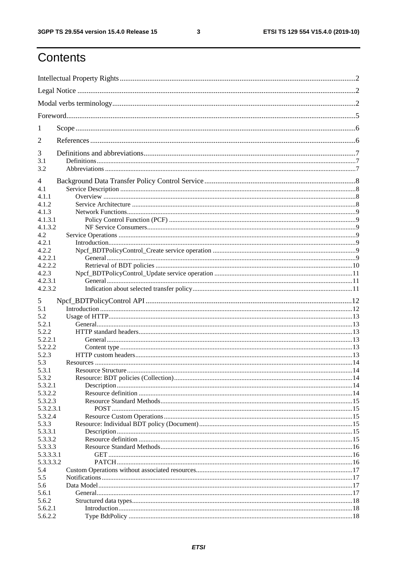$\mathbf{3}$ 

# Contents

| 1          |                                 |  |
|------------|---------------------------------|--|
| 2          |                                 |  |
| 3          |                                 |  |
| 3.1<br>3.2 |                                 |  |
| 4          |                                 |  |
| 4.1        |                                 |  |
| 4.1.1      |                                 |  |
| 4.1.2      |                                 |  |
| 4.1.3      |                                 |  |
| 4.1.3.1    |                                 |  |
| 4.1.3.2    |                                 |  |
| 4.2        |                                 |  |
| 4.2.1      |                                 |  |
| 4.2.2      |                                 |  |
| 4.2.2.1    |                                 |  |
| 4.2.2.2    |                                 |  |
| 4.2.3      |                                 |  |
| 4.2.3.1    |                                 |  |
| 4.2.3.2    |                                 |  |
| 5          |                                 |  |
| 5.1        |                                 |  |
| 5.2        |                                 |  |
| 5.2.1      |                                 |  |
| 5.2.2      |                                 |  |
| 5.2.2.1    |                                 |  |
| 5.2.2.2    |                                 |  |
| 5.2.3      |                                 |  |
| 5.3        |                                 |  |
| 5.3.1      | <b>Resource Structure</b><br>14 |  |
| 5.3.2      |                                 |  |
| 5.3.2.1    |                                 |  |
| 5.3.2.2    |                                 |  |
| 5.3.2.3    |                                 |  |
| 5.3.2.3.1  |                                 |  |
| 5.3.2.4    |                                 |  |
| 5.3.3      |                                 |  |
| 5.3.3.1    |                                 |  |
| 5.3.3.2    |                                 |  |
| 5.3.3.3    |                                 |  |
| 5.3.3.3.1  |                                 |  |
| 5.3.3.3.2  |                                 |  |
| 5.4        |                                 |  |
| 5.5        |                                 |  |
| 5.6        |                                 |  |
| 5.6.1      |                                 |  |
| 5.6.2      |                                 |  |
| 5.6.2.1    |                                 |  |
| 5.6.2.2    |                                 |  |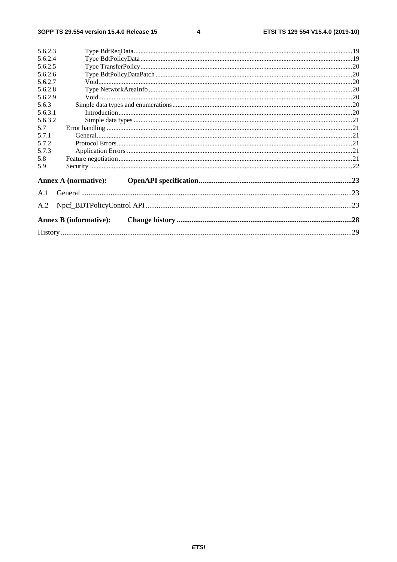$\overline{\mathbf{4}}$ 

| 5.6.2.3                       |  |
|-------------------------------|--|
| 5.6.2.4                       |  |
| 5.6.2.5                       |  |
| 5.6.2.6                       |  |
| 5.6.2.7                       |  |
| 5.6.2.8                       |  |
| 5.6.2.9                       |  |
| 5.6.3                         |  |
| 5.6.3.1                       |  |
| 5.6.3.2                       |  |
| 5.7                           |  |
| 5.7.1                         |  |
| 5.7.2                         |  |
| 5.7.3                         |  |
| 5.8                           |  |
| 5.9                           |  |
| <b>Annex A (normative):</b>   |  |
| A.1                           |  |
| A.2                           |  |
| <b>Annex B (informative):</b> |  |
|                               |  |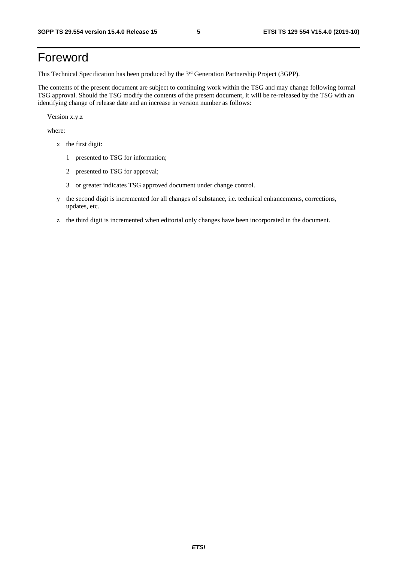# Foreword

This Technical Specification has been produced by the 3<sup>rd</sup> Generation Partnership Project (3GPP).

The contents of the present document are subject to continuing work within the TSG and may change following formal TSG approval. Should the TSG modify the contents of the present document, it will be re-released by the TSG with an identifying change of release date and an increase in version number as follows:

Version x.y.z

where:

- x the first digit:
	- 1 presented to TSG for information;
	- 2 presented to TSG for approval;
	- 3 or greater indicates TSG approved document under change control.
- y the second digit is incremented for all changes of substance, i.e. technical enhancements, corrections, updates, etc.
- z the third digit is incremented when editorial only changes have been incorporated in the document.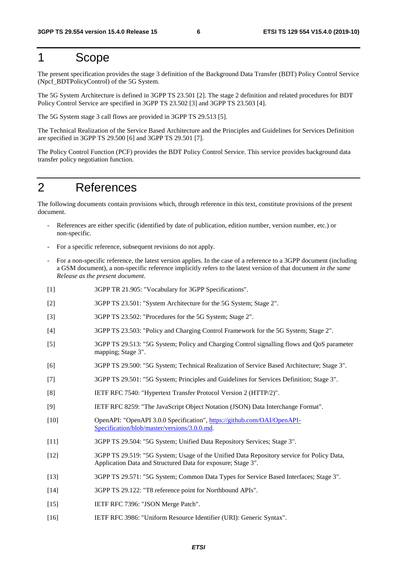### 1 Scope

The present specification provides the stage 3 definition of the Background Data Transfer (BDT) Policy Control Service (Npcf\_BDTPolicyControl) of the 5G System.

The 5G System Architecture is defined in 3GPP TS 23.501 [2]. The stage 2 definition and related procedures for BDT Policy Control Service are specified in 3GPP TS 23.502 [3] and 3GPP TS 23.503 [4].

The 5G System stage 3 call flows are provided in 3GPP TS 29.513 [5].

The Technical Realization of the Service Based Architecture and the Principles and Guidelines for Services Definition are specified in 3GPP TS 29.500 [6] and 3GPP TS 29.501 [7].

The Policy Control Function (PCF) provides the BDT Policy Control Service. This service provides background data transfer policy negotiation function.

## 2 References

The following documents contain provisions which, through reference in this text, constitute provisions of the present document.

- References are either specific (identified by date of publication, edition number, version number, etc.) or non-specific.
- For a specific reference, subsequent revisions do not apply.
- For a non-specific reference, the latest version applies. In the case of a reference to a 3GPP document (including a GSM document), a non-specific reference implicitly refers to the latest version of that document *in the same Release as the present document*.
- [1] 3GPP TR 21.905: "Vocabulary for 3GPP Specifications".
- [2] 3GPP TS 23.501: "System Architecture for the 5G System; Stage 2".
- [3] 3GPP TS 23.502: "Procedures for the 5G System; Stage 2".
- [4] 3GPP TS 23.503: "Policy and Charging Control Framework for the 5G System; Stage 2".
- [5] 3GPP TS 29.513: "5G System; Policy and Charging Control signalling flows and QoS parameter mapping; Stage 3".
- [6] 3GPP TS 29.500: "5G System; Technical Realization of Service Based Architecture; Stage 3".
- [7] 3GPP TS 29.501: "5G System; Principles and Guidelines for Services Definition; Stage 3".
- [8] IETF RFC 7540: "Hypertext Transfer Protocol Version 2 (HTTP/2)".
- [9] IETF RFC 8259: "The JavaScript Object Notation (JSON) Data Interchange Format".
- [10] OpenAPI: "OpenAPI 3.0.0 Specification", [https://github.com/OAI/OpenAPI](https://github.com/OAI/OpenAPI-Specification/blob/master/versions/3.0.0.md)-[Specification/blob/master/versions/3.0.0.md](https://github.com/OAI/OpenAPI-Specification/blob/master/versions/3.0.0.md).
- [11] 3GPP TS 29.504: "5G System; Unified Data Repository Services; Stage 3".
- [12] 3GPP TS 29.519: "5G System; Usage of the Unified Data Repository service for Policy Data, Application Data and Structured Data for exposure; Stage 3".
- [13] 3GPP TS 29.571: "5G System; Common Data Types for Service Based Interfaces; Stage 3".
- [14] 3GPP TS 29.122: "T8 reference point for Northbound APIs".
- [15] **IETF RFC 7396: "JSON Merge Patch".**
- [16] IETF RFC 3986: "Uniform Resource Identifier (URI): Generic Syntax".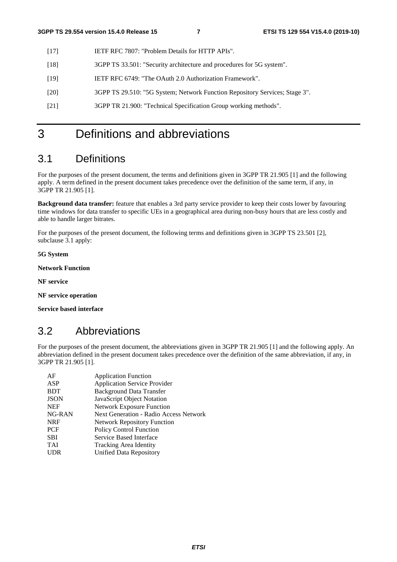- [17] IETF RFC 7807: "Problem Details for HTTP APIs".
- [18] 3GPP TS 33.501: "Security architecture and procedures for 5G system".
- [19] IETF RFC 6749: "The OAuth 2.0 Authorization Framework".
- [20] 3GPP TS 29.510: "5G System; Network Function Repository Services; Stage 3".
- [21] 3GPP TR 21.900: "Technical Specification Group working methods".

# 3 Definitions and abbreviations

### 3.1 Definitions

For the purposes of the present document, the terms and definitions given in 3GPP TR 21.905 [1] and the following apply. A term defined in the present document takes precedence over the definition of the same term, if any, in 3GPP TR 21.905 [1].

**Background data transfer:** feature that enables a 3rd party service provider to keep their costs lower by favouring time windows for data transfer to specific UEs in a geographical area during non-busy hours that are less costly and able to handle larger bitrates.

For the purposes of the present document, the following terms and definitions given in 3GPP TS 23.501 [2], subclause 3.1 apply:

**5G System** 

**Network Function** 

**NF service** 

**NF service operation** 

**Service based interface** 

### 3.2 Abbreviations

For the purposes of the present document, the abbreviations given in 3GPP TR 21.905 [1] and the following apply. An abbreviation defined in the present document takes precedence over the definition of the same abbreviation, if any, in 3GPP TR 21.905 [1].

| AF          | <b>Application Function</b>                   |
|-------------|-----------------------------------------------|
| ASP         | <b>Application Service Provider</b>           |
| <b>BDT</b>  | <b>Background Data Transfer</b>               |
| <b>JSON</b> | JavaScript Object Notation                    |
| <b>NEF</b>  | <b>Network Exposure Function</b>              |
| NG-RAN      | <b>Next Generation - Radio Access Network</b> |
| <b>NRF</b>  | <b>Network Repository Function</b>            |
| <b>PCF</b>  | Policy Control Function                       |
| <b>SBI</b>  | Service Based Interface                       |
| <b>TAI</b>  | Tracking Area Identity                        |
| <b>UDR</b>  | Unified Data Repository                       |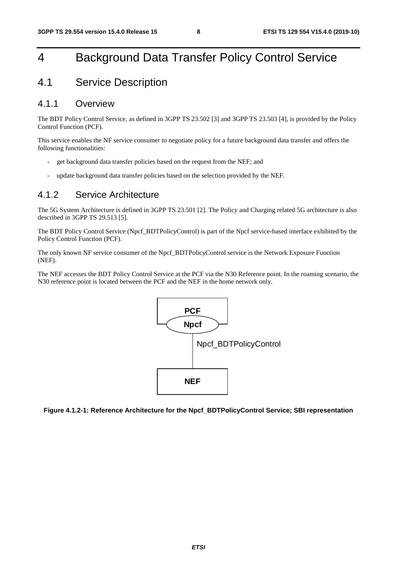# 4 Background Data Transfer Policy Control Service

### 4.1 Service Description

#### 4.1.1 Overview

The BDT Policy Control Service, as defined in 3GPP TS 23.502 [3] and 3GPP TS 23.503 [4], is provided by the Policy Control Function (PCF).

This service enables the NF service consumer to negotiate policy for a future background data transfer and offers the following functionalities:

- get background data transfer policies based on the request from the NEF; and
- update background data transfer policies based on the selection provided by the NEF.

### 4.1.2 Service Architecture

The 5G System Architecture is defined in 3GPP TS 23.501 [2]. The Policy and Charging related 5G architecture is also described in 3GPP TS 29.513 [5].

The BDT Policy Control Service (Npcf\_BDTPolicyControl) is part of the Npcf service-based interface exhibited by the Policy Control Function (PCF).

The only known NF service consumer of the Npcf\_BDTPolicyControl service is the Network Exposure Function (NEF).

The NEF accesses the BDT Policy Control Service at the PCF via the N30 Reference point. In the roaming scenario, the N30 reference point is located between the PCF and the NEF in the home network only.



**Figure 4.1.2-1: Reference Architecture for the Npcf\_BDTPolicyControl Service; SBI representation**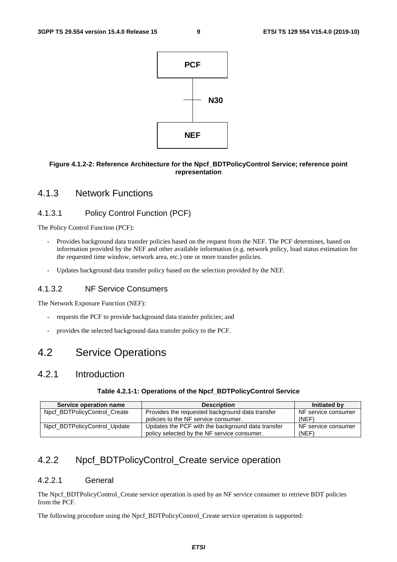

#### **Figure 4.1.2-2: Reference Architecture for the Npcf\_BDTPolicyControl Service; reference point representation**

#### 4.1.3 Network Functions

#### 4.1.3.1 Policy Control Function (PCF)

The Policy Control Function (PCF):

- Provides background data transfer policies based on the request from the NEF. The PCF determines, based on information provided by the NEF and other available information (e.g. network policy, load status estimation for the requested time window, network area, etc.) one or more transfer policies.
- Updates background data transfer policy based on the selection provided by the NEF.

#### 4.1.3.2 NF Service Consumers

The Network Exposure Function (NEF):

- requests the PCF to provide background data transfer policies; and
- provides the selected background data transfer policy to the PCF.

### 4.2 Service Operations

#### 4.2.1 Introduction

#### **Table 4.2.1-1: Operations of the Npcf\_BDTPolicyControl Service**

| Service operation name       | <b>Description</b>                                | Initiated by        |
|------------------------------|---------------------------------------------------|---------------------|
| Npcf BDTPolicyControl Create | Provides the requested background data transfer   | NF service consumer |
|                              | policies to the NF service consumer.              | (NEF)               |
| Npcf BDTPolicyControl Update | Updates the PCF with the background data transfer | NF service consumer |
|                              | policy selected by the NF service consumer.       | (NEF)               |

### 4.2.2 Npcf\_BDTPolicyControl\_Create service operation

#### 4.2.2.1 General

The Npcf\_BDTPolicyControl\_Create service operation is used by an NF service consumer to retrieve BDT policies from the PCF.

The following procedure using the Npcf\_BDTPolicyControl\_Create service operation is supported: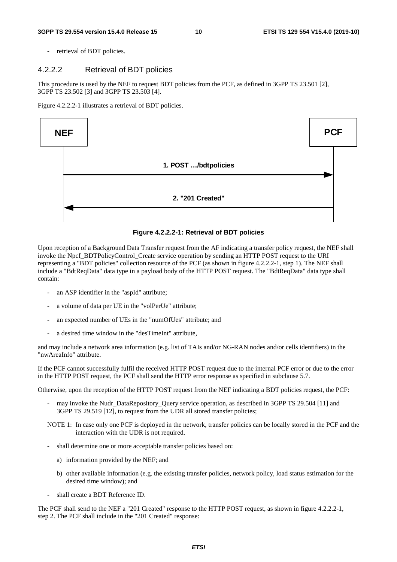retrieval of BDT policies.

#### 4.2.2.2 Retrieval of BDT policies

This procedure is used by the NEF to request BDT policies from the PCF, as defined in 3GPP TS 23.501 [2], 3GPP TS 23.502 [3] and 3GPP TS 23.503 [4].

Figure 4.2.2.2-1 illustrates a retrieval of BDT policies.



**Figure 4.2.2.2-1: Retrieval of BDT policies** 

Upon reception of a Background Data Transfer request from the AF indicating a transfer policy request, the NEF shall invoke the Npcf\_BDTPolicyControl\_Create service operation by sending an HTTP POST request to the URI representing a "BDT policies" collection resource of the PCF (as shown in figure 4.2.2.2-1, step 1). The NEF shall include a "BdtReqData" data type in a payload body of the HTTP POST request. The "BdtReqData" data type shall contain:

- an ASP identifier in the "aspId" attribute;
- a volume of data per UE in the "volPerUe" attribute;
- an expected number of UEs in the "numOfUes" attribute; and
- a desired time window in the "desTimeInt" attribute,

and may include a network area information (e.g. list of TAIs and/or NG-RAN nodes and/or cells identifiers) in the "nwAreaInfo" attribute.

If the PCF cannot successfully fulfil the received HTTP POST request due to the internal PCF error or due to the error in the HTTP POST request, the PCF shall send the HTTP error response as specified in subclause 5.7.

Otherwise, upon the reception of the HTTP POST request from the NEF indicating a BDT policies request, the PCF:

- may invoke the Nudr\_DataRepository\_Query service operation, as described in 3GPP TS 29.504 [11] and 3GPP TS 29.519 [12], to request from the UDR all stored transfer policies;
- NOTE 1: In case only one PCF is deployed in the network, transfer policies can be locally stored in the PCF and the interaction with the UDR is not required.
- shall determine one or more acceptable transfer policies based on:
	- a) information provided by the NEF; and
	- b) other available information (e.g. the existing transfer policies, network policy, load status estimation for the desired time window); and
- shall create a BDT Reference ID.

The PCF shall send to the NEF a "201 Created" response to the HTTP POST request, as shown in figure 4.2.2.2-1, step 2. The PCF shall include in the "201 Created" response: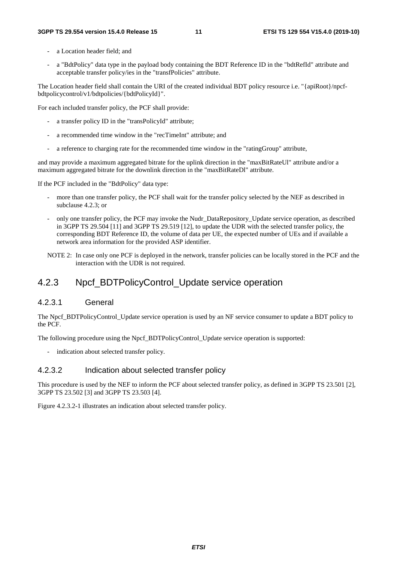- a Location header field; and
- a "BdtPolicy" data type in the payload body containing the BDT Reference ID in the "bdtRefId" attribute and acceptable transfer policy/ies in the "transfPolicies" attribute.

The Location header field shall contain the URI of the created individual BDT policy resource i.e. "{apiRoot}/npcfbdtpolicycontrol/v1/bdtpolicies/{bdtPolicyId}".

For each included transfer policy, the PCF shall provide:

- a transfer policy ID in the "transPolicyId" attribute;
- a recommended time window in the "recTimeInt" attribute; and
- a reference to charging rate for the recommended time window in the "ratingGroup" attribute,

and may provide a maximum aggregated bitrate for the uplink direction in the "maxBitRateUl" attribute and/or a maximum aggregated bitrate for the downlink direction in the "maxBitRateDl" attribute.

If the PCF included in the "BdtPolicy" data type:

- more than one transfer policy, the PCF shall wait for the transfer policy selected by the NEF as described in subclause 4.2.3; or
- only one transfer policy, the PCF may invoke the Nudr\_DataRepository\_Update service operation, as described in 3GPP TS 29.504 [11] and 3GPP TS 29.519 [12], to update the UDR with the selected transfer policy, the corresponding BDT Reference ID, the volume of data per UE, the expected number of UEs and if available a network area information for the provided ASP identifier.
- NOTE 2: In case only one PCF is deployed in the network, transfer policies can be locally stored in the PCF and the interaction with the UDR is not required.

### 4.2.3 Npcf\_BDTPolicyControl\_Update service operation

#### 4.2.3.1 General

The Npcf BDTPolicyControl Update service operation is used by an NF service consumer to update a BDT policy to the PCF.

The following procedure using the Npcf\_BDTPolicyControl\_Update service operation is supported:

- indication about selected transfer policy.

#### 4.2.3.2 Indication about selected transfer policy

This procedure is used by the NEF to inform the PCF about selected transfer policy, as defined in 3GPP TS 23.501 [2], 3GPP TS 23.502 [3] and 3GPP TS 23.503 [4].

Figure 4.2.3.2-1 illustrates an indication about selected transfer policy.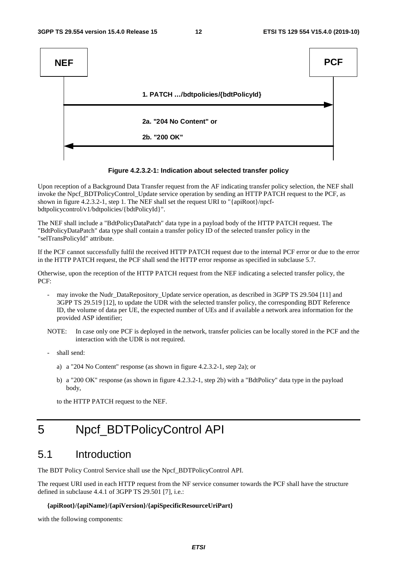

#### **Figure 4.2.3.2-1: Indication about selected transfer policy**

Upon reception of a Background Data Transfer request from the AF indicating transfer policy selection, the NEF shall invoke the Npcf\_BDTPolicyControl\_Update service operation by sending an HTTP PATCH request to the PCF, as shown in figure 4.2.3.2-1, step 1. The NEF shall set the request URI to "{apiRoot}/npcfbdtpolicycontrol/v1/bdtpolicies/{bdtPolicyId}".

The NEF shall include a "BdtPolicyDataPatch" data type in a payload body of the HTTP PATCH request. The "BdtPolicyDataPatch" data type shall contain a transfer policy ID of the selected transfer policy in the "selTransPolicyId" attribute.

If the PCF cannot successfully fulfil the received HTTP PATCH request due to the internal PCF error or due to the error in the HTTP PATCH request, the PCF shall send the HTTP error response as specified in subclause 5.7.

Otherwise, upon the reception of the HTTP PATCH request from the NEF indicating a selected transfer policy, the PCF:

- may invoke the Nudr\_DataRepository\_Update service operation, as described in 3GPP TS 29.504 [11] and 3GPP TS 29.519 [12], to update the UDR with the selected transfer policy, the corresponding BDT Reference ID, the volume of data per UE, the expected number of UEs and if available a network area information for the provided ASP identifier;
- NOTE: In case only one PCF is deployed in the network, transfer policies can be locally stored in the PCF and the interaction with the UDR is not required.
- shall send:
	- a) a "204 No Content" response (as shown in figure 4.2.3.2-1, step 2a); or
	- b) a "200 OK" response (as shown in figure 4.2.3.2-1, step 2b) with a "BdtPolicy" data type in the payload body,

to the HTTP PATCH request to the NEF.

# 5 Npcf\_BDTPolicyControl API

### 5.1 Introduction

The BDT Policy Control Service shall use the Npcf\_BDTPolicyControl API.

The request URI used in each HTTP request from the NF service consumer towards the PCF shall have the structure defined in subclause 4.4.1 of 3GPP TS 29.501 [7], i.e.:

#### **{apiRoot}/{apiName}/{apiVersion}/{apiSpecificResourceUriPart}**

with the following components: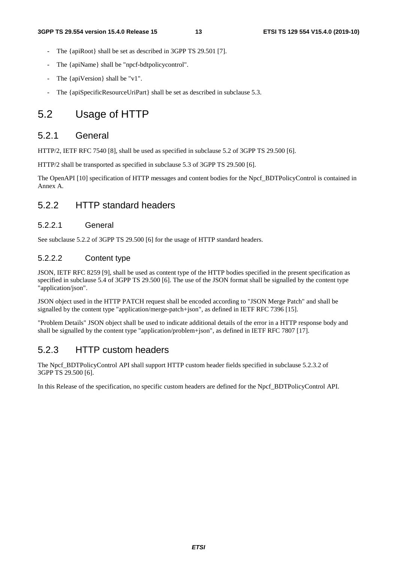- The {apiRoot} shall be set as described in 3GPP TS 29.501 [7].
- The {apiName} shall be "npcf-bdtpolicycontrol".
- The {apiVersion} shall be "v1".
- The {apiSpecificResourceUriPart} shall be set as described in subclause 5.3.

### 5.2 Usage of HTTP

#### 5.2.1 General

HTTP/2, IETF RFC 7540 [8], shall be used as specified in subclause 5.2 of 3GPP TS 29.500 [6].

HTTP/2 shall be transported as specified in subclause 5.3 of 3GPP TS 29.500 [6].

The OpenAPI [10] specification of HTTP messages and content bodies for the Npcf\_BDTPolicyControl is contained in Annex A.

### 5.2.2 HTTP standard headers

#### 5.2.2.1 General

See subclause 5.2.2 of 3GPP TS 29.500 [6] for the usage of HTTP standard headers.

#### 5.2.2.2 Content type

JSON, IETF RFC 8259 [9], shall be used as content type of the HTTP bodies specified in the present specification as specified in subclause 5.4 of 3GPP TS 29.500 [6]. The use of the JSON format shall be signalled by the content type "application/json".

JSON object used in the HTTP PATCH request shall be encoded according to "JSON Merge Patch" and shall be signalled by the content type "application/merge-patch+json", as defined in IETF RFC 7396 [15].

"Problem Details" JSON object shall be used to indicate additional details of the error in a HTTP response body and shall be signalled by the content type "application/problem+json", as defined in IETF RFC 7807 [17].

### 5.2.3 HTTP custom headers

The Npcf\_BDTPolicyControl API shall support HTTP custom header fields specified in subclause 5.2.3.2 of 3GPP TS 29.500 [6].

In this Release of the specification, no specific custom headers are defined for the Npcf\_BDTPolicyControl API.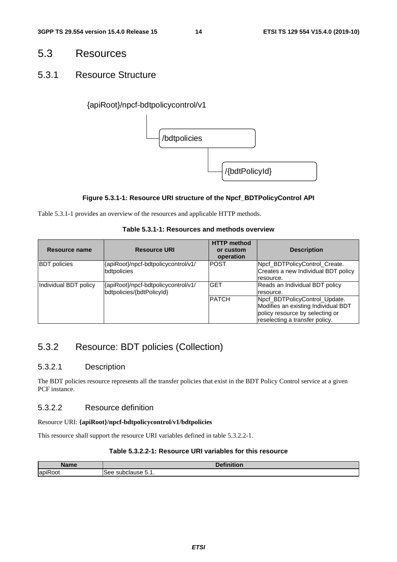### 5.3 Resources

### 5.3.1 Resource Structure

#### {apiRoot}/npcf-bdtpolicycontrol/v1



#### **Figure 5.3.1-1: Resource URI structure of the Npcf\_BDTPolicyControl API**

Table 5.3.1-1 provides an overview of the resources and applicable HTTP methods.

#### **Table 5.3.1-1: Resources and methods overview**

| Resource name         | <b>Resource URI</b>                                              | <b>HTTP</b> method<br>or custom<br>operation | <b>Description</b>                                                                                                                        |
|-----------------------|------------------------------------------------------------------|----------------------------------------------|-------------------------------------------------------------------------------------------------------------------------------------------|
| <b>BDT</b> policies   | {apiRoot}/npcf-bdtpolicycontrol/v1/<br>bdtpolicies               | <b>POST</b>                                  | Npcf_BDTPolicyControl_Create.<br>Creates a new Individual BDT policy<br>resource.                                                         |
| Individual BDT policy | {apiRoot}/npcf-bdtpolicycontrol/v1/<br>bdtpolicies/{bdtPolicyId} | <b>GET</b>                                   | Reads an Individual BDT policy<br>resource.                                                                                               |
|                       |                                                                  | <b>PATCH</b>                                 | Npcf BDTPolicyControl Update.<br>Modifies an existing Individual BDT<br>policy resource by selecting or<br>reselecting a transfer policy. |

### 5.3.2 Resource: BDT policies (Collection)

#### 5.3.2.1 Description

The BDT policies resource represents all the transfer policies that exist in the BDT Policy Control service at a given PCF instance.

#### 5.3.2.2 Resource definition

#### Resource URI: **{apiRoot}/npcf-bdtpolicycontrol/v1/bdtpolicies**

This resource shall support the resource URI variables defined in table 5.3.2.2-1.

#### **Table 5.3.2.2-1: Resource URI variables for this resource**

| Namo         | $-1$<br>1.1                            |
|--------------|----------------------------------------|
| . .<br>lapil | ء ہ<br>. <sup>. .</sup><br>55<br>ור.ו. |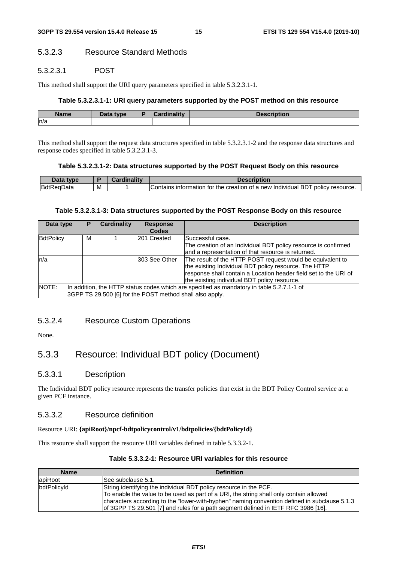#### 5.3.2.3 Resource Standard Methods

#### 5.3.2.3.1 POST

This method shall support the URI query parameters specified in table 5.3.2.3.1-1.

#### **Table 5.3.2.3.1-1: URI query parameters supported by the POST method on this resource**

| <b>Name</b> | <b>Data type</b><br>Dala | $1 - 11$ | .<br>יטפטע<br>ווטנוטוו |
|-------------|--------------------------|----------|------------------------|
| n/a         |                          |          |                        |

This method shall support the request data structures specified in table 5.3.2.3.1-2 and the response data structures and response codes specified in table 5.3.2.3.1-3.

#### **Table 5.3.2.3.1-2: Data structures supported by the POST Request Body on this resource**

| <i><b>type</b></i> |   | .nality | <b>Description</b>                                                                                         |
|--------------------|---|---------|------------------------------------------------------------------------------------------------------------|
| BdtReaD<br>)ata    | M |         | ' BDT<br>policy resource<br>r the creation of a new Individual F<br>, information for $\dot{}$<br>Contains |

#### **Table 5.3.2.3.1-3: Data structures supported by the POST Response Body on this resource**

| Data type        | Р                                                                                         | <b>Cardinality</b> | <b>Response</b> | <b>Description</b>                                               |  |  |
|------------------|-------------------------------------------------------------------------------------------|--------------------|-----------------|------------------------------------------------------------------|--|--|
|                  |                                                                                           |                    | <b>Codes</b>    |                                                                  |  |  |
| <b>BdtPolicy</b> | м                                                                                         |                    | 201 Created     | Successful case.                                                 |  |  |
|                  |                                                                                           |                    |                 | The creation of an Individual BDT policy resource is confirmed   |  |  |
|                  |                                                                                           |                    |                 | and a representation of that resource is returned.               |  |  |
| ln/a             |                                                                                           |                    | 303 See Other   | The result of the HTTP POST request would be equivalent to       |  |  |
|                  |                                                                                           |                    |                 | the existing Individual BDT policy resource. The HTTP            |  |  |
|                  |                                                                                           |                    |                 | response shall contain a Location header field set to the URI of |  |  |
|                  |                                                                                           |                    |                 | the existing individual BDT policy resource.                     |  |  |
| NOTE:            | In addition, the HTTP status codes which are specified as mandatory in table 5.2.7.1-1 of |                    |                 |                                                                  |  |  |
|                  | 3GPP TS 29.500 [6] for the POST method shall also apply.                                  |                    |                 |                                                                  |  |  |

#### 5.3.2.4 Resource Custom Operations

None.

### 5.3.3 Resource: Individual BDT policy (Document)

#### 5.3.3.1 Description

The Individual BDT policy resource represents the transfer policies that exist in the BDT Policy Control service at a given PCF instance.

#### 5.3.3.2 Resource definition

#### Resource URI: **{apiRoot}/npcf-bdtpolicycontrol/v1/bdtpolicies/{bdtPolicyId}**

This resource shall support the resource URI variables defined in table 5.3.3.2-1.

| <b>Definition</b><br><b>Name</b> |                                                                                              |  |  |  |  |  |
|----------------------------------|----------------------------------------------------------------------------------------------|--|--|--|--|--|
| apiRoot                          | ISee subclause 5.1.                                                                          |  |  |  |  |  |
| bdtPolicyId                      | String identifying the individual BDT policy resource in the PCF.                            |  |  |  |  |  |
|                                  | To enable the value to be used as part of a URI, the string shall only contain allowed       |  |  |  |  |  |
|                                  | characters according to the "lower-with-hyphen" naming convention defined in subclause 5.1.3 |  |  |  |  |  |
|                                  | of 3GPP TS 29.501 [7] and rules for a path segment defined in IETF RFC 3986 [16].            |  |  |  |  |  |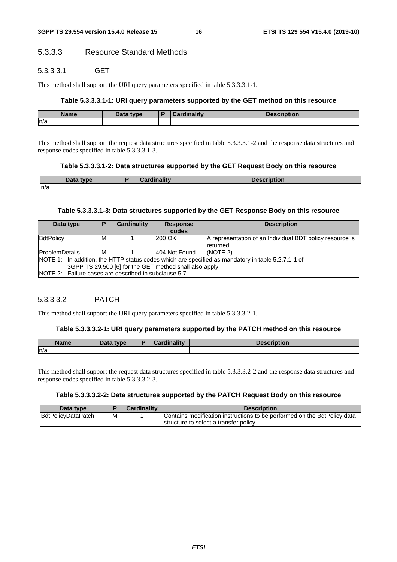#### 5.3.3.3 Resource Standard Methods

#### 5.3.3.3.1 GET

This method shall support the URI query parameters specified in table 5.3.3.3.1-1.

#### **Table 5.3.3.3.1-1: URI query parameters supported by the GET method on this resource**

| Name | Data<br>type | . . | <b>Cordinality</b><br>oarumantv | <b>Description</b> |
|------|--------------|-----|---------------------------------|--------------------|
| n/a  |              |     |                                 |                    |

This method shall support the request data structures specified in table 5.3.3.3.1-2 and the response data structures and response codes specified in table 5.3.3.3.1-3.

#### **Table 5.3.3.3.1-2: Data structures supported by the GET Request Body on this resource**

| Data.<br>tyne | <b>Northern</b><br><b>THE REAL</b><br><b>Pordu</b><br>and it w | <b>Description</b> |
|---------------|----------------------------------------------------------------|--------------------|
| ln/a          |                                                                |                    |

#### **Table 5.3.3.3.1-3: Data structures supported by the GET Response Body on this resource**

| Data type<br>Р                                          |   | Cardinality | <b>Response</b><br>codes | <b>Description</b>                                                                                |  |  |
|---------------------------------------------------------|---|-------------|--------------------------|---------------------------------------------------------------------------------------------------|--|--|
| BdtPolicy                                               | М |             | 200 OK                   | A representation of an Individual BDT policy resource is                                          |  |  |
|                                                         |   |             |                          | Ireturned.                                                                                        |  |  |
| <b>ProblemDetails</b><br>м                              |   |             | 404 Not Found            | $NOTE$ 2)                                                                                         |  |  |
|                                                         |   |             |                          | NOTE 1: In addition, the HTTP status codes which are specified as mandatory in table 5.2.7.1-1 of |  |  |
| 3GPP TS 29.500 [6] for the GET method shall also apply. |   |             |                          |                                                                                                   |  |  |
| INOTE 2: Failure cases are described in subclause 5.7.  |   |             |                          |                                                                                                   |  |  |

#### 5.3.3.3.2 PATCH

This method shall support the URI query parameters specified in table 5.3.3.3.2-1.

#### **Table 5.3.3.3.2-1: URI query parameters supported by the PATCH method on this resource**

| <b>Name</b> | <b>Pata type</b><br>Dala | Ð | $1 - 11$<br>$\sim$ | .<br><b>DESCRIPTION</b> |
|-------------|--------------------------|---|--------------------|-------------------------|
| ln/a        |                          |   |                    |                         |

This method shall support the request data structures specified in table 5.3.3.3.2-2 and the response data structures and response codes specified in table 5.3.3.3.2-3.

#### **Table 5.3.3.3.2-2: Data structures supported by the PATCH Request Body on this resource**

| Data type          |   | <b>Cardinality</b> | <b>Description</b>                                                       |
|--------------------|---|--------------------|--------------------------------------------------------------------------|
| BdtPolicyDataPatch | м |                    | Contains modification instructions to be performed on the BdtPolicy data |
|                    |   |                    | Istructure to select a transfer policy.                                  |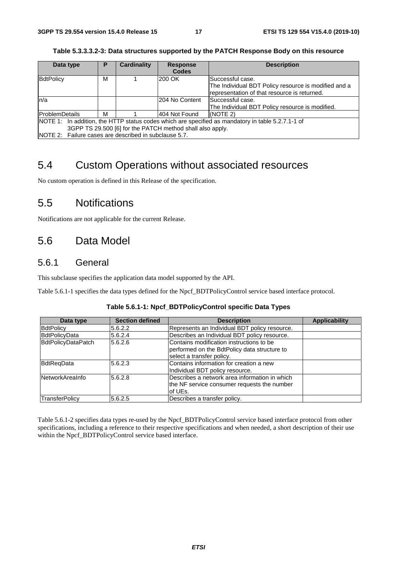| Data type                                             | Р                                                                                                 | <b>Cardinality</b> | <b>Response</b> | <b>Description</b>                                                                                   |  |  |  |  |
|-------------------------------------------------------|---------------------------------------------------------------------------------------------------|--------------------|-----------------|------------------------------------------------------------------------------------------------------|--|--|--|--|
|                                                       |                                                                                                   |                    | <b>Codes</b>    |                                                                                                      |  |  |  |  |
| BdtPolicy                                             | M                                                                                                 |                    | 200 OK          | lSuccessful case.                                                                                    |  |  |  |  |
|                                                       |                                                                                                   |                    |                 | The Individual BDT Policy resource is modified and a<br>representation of that resource is returned. |  |  |  |  |
| ln/a                                                  |                                                                                                   |                    | I204 No Content | Successful case.                                                                                     |  |  |  |  |
|                                                       |                                                                                                   |                    |                 | The Individual BDT Policy resource is modified.                                                      |  |  |  |  |
| <b>ProblemDetails</b>                                 | м                                                                                                 |                    | 404 Not Found   | $NOTE$ 2)                                                                                            |  |  |  |  |
|                                                       | NOTE 1: In addition, the HTTP status codes which are specified as mandatory in table 5.2.7.1-1 of |                    |                 |                                                                                                      |  |  |  |  |
|                                                       | 3GPP TS 29.500 [6] for the PATCH method shall also apply.                                         |                    |                 |                                                                                                      |  |  |  |  |
| NOTE 2: Failure cases are described in subclause 5.7. |                                                                                                   |                    |                 |                                                                                                      |  |  |  |  |

#### **Table 5.3.3.3.2-3: Data structures supported by the PATCH Response Body on this resource**

### 5.4 Custom Operations without associated resources

No custom operation is defined in this Release of the specification.

### 5.5 Notifications

Notifications are not applicable for the current Release.

### 5.6 Data Model

### 5.6.1 General

This subclause specifies the application data model supported by the API.

Table 5.6.1-1 specifies the data types defined for the Npcf\_BDTPolicyControl service based interface protocol.

|--|--|--|--|

| Data type              | <b>Section defined</b> | <b>Description</b>                                                                                                    | <b>Applicability</b> |
|------------------------|------------------------|-----------------------------------------------------------------------------------------------------------------------|----------------------|
| <b>BdtPolicy</b>       | 5.6.2.2                | Represents an Individual BDT policy resource.                                                                         |                      |
| BdtPolicyData          | 5.6.2.4                | Describes an Individual BDT policy resource.                                                                          |                      |
| BdtPolicyDataPatch     | 5.6.2.6                | Contains modification instructions to be<br>performed on the BdtPolicy data structure to<br>select a transfer policy. |                      |
| BdtReqData             | 5.6.2.3                | Contains information for creation a new<br>Individual BDT policy resource.                                            |                      |
| <b>NetworkArealnfo</b> | 5.6.2.8                | Describes a network area information in which<br>the NF service consumer requests the number<br>of UEs.               |                      |
| <b>TransferPolicy</b>  | 5.6.2.5                | Describes a transfer policy.                                                                                          |                      |

Table 5.6.1-2 specifies data types re-used by the Npcf\_BDTPolicyControl service based interface protocol from other specifications, including a reference to their respective specifications and when needed, a short description of their use within the Npcf\_BDTPolicyControl service based interface.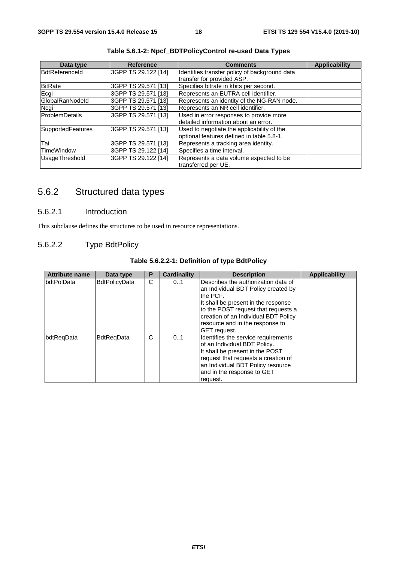| Data type         | <b>Reference</b>    | <b>Comments</b>                                                                         | <b>Applicability</b> |
|-------------------|---------------------|-----------------------------------------------------------------------------------------|----------------------|
| BdtReferenceld    | 3GPP TS 29.122 [14] | Identifies transfer policy of background data<br>transfer for provided ASP.             |                      |
| <b>BitRate</b>    | 3GPP TS 29.571 [13] | Specifies bitrate in kbits per second.                                                  |                      |
| Ecgi              | 3GPP TS 29.571 [13] | Represents an EUTRA cell identifier.                                                    |                      |
| GlobalRanNodeld   | 3GPP TS 29.571 [13] | Represents an identity of the NG-RAN node.                                              |                      |
| Ncgi              | 3GPP TS 29.571 [13] | Represents an NR cell identifier.                                                       |                      |
| ProblemDetails    | 3GPP TS 29.571 [13] | Used in error responses to provide more<br>detailed information about an error.         |                      |
| SupportedFeatures | 3GPP TS 29.571 [13] | Used to negotiate the applicability of the<br>optional features defined in table 5.8-1. |                      |
| Tai               | 3GPP TS 29.571 [13] | Represents a tracking area identity.                                                    |                      |
| <b>TimeWindow</b> | 3GPP TS 29.122 [14] | Specifies a time interval.                                                              |                      |
| UsageThreshold    | 3GPP TS 29.122 [14] | Represents a data volume expected to be<br>transferred per UE.                          |                      |

**Table 5.6.1-2: Npcf\_BDTPolicyControl re-used Data Types** 

### 5.6.2 Structured data types

#### 5.6.2.1 Introduction

This subclause defines the structures to be used in resource representations.

#### 5.6.2.2 Type BdtPolicy

| <b>Attribute name</b> | Data type            | Р | <b>Cardinality</b> | <b>Description</b>                                                                                                                                                                                                                                                     | Applicability |
|-----------------------|----------------------|---|--------------------|------------------------------------------------------------------------------------------------------------------------------------------------------------------------------------------------------------------------------------------------------------------------|---------------|
| bdtPolData            | <b>BdtPolicyData</b> | C | 01                 | Describes the authorization data of<br>an Individual BDT Policy created by<br>the PCF.<br>It shall be present in the response<br>to the POST request that requests a<br>creation of an Individual BDT Policy<br>resource and in the response to<br><b>GET</b> request. |               |
| bdtRegData            | <b>BdtRegData</b>    | С | 01                 | Identifies the service requirements<br>of an Individual BDT Policy.<br>It shall be present in the POST<br>request that requests a creation of<br>an Individual BDT Policy resource<br>and in the response to GET<br>request.                                           |               |

**Table 5.6.2.2-1: Definition of type BdtPolicy**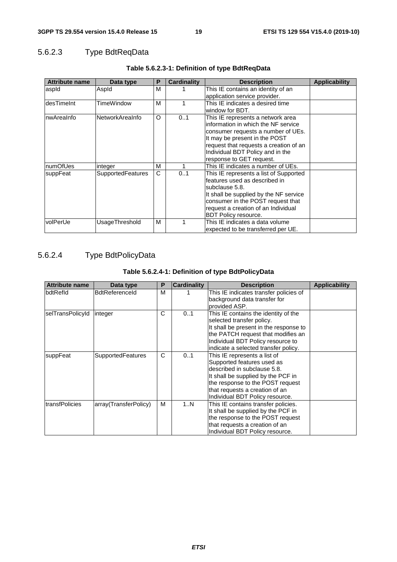### 5.6.2.3 Type BdtReqData

| <b>Attribute name</b> | Data type                | Р        | Cardinality | <b>Description</b>                     | <b>Applicability</b> |
|-----------------------|--------------------------|----------|-------------|----------------------------------------|----------------------|
| aspid                 | Aspld                    | м        |             | This IE contains an identity of an     |                      |
|                       |                          |          |             | application service provider.          |                      |
| desTimeInt            | TimeWindow               | м        |             | This IE indicates a desired time       |                      |
|                       |                          |          |             | window for BDT.                        |                      |
| nwAreaInfo            | NetworkAreaInfo          | $\Omega$ | 01          | This IE represents a network area      |                      |
|                       |                          |          |             | information in which the NF service    |                      |
|                       |                          |          |             | consumer requests a number of UEs.     |                      |
|                       |                          |          |             | It may be present in the POST          |                      |
|                       |                          |          |             | request that requests a creation of an |                      |
|                       |                          |          |             | Individual BDT Policy and in the       |                      |
|                       |                          |          |             | response to GET request.               |                      |
| numOfUes              | integer                  | м        |             | This IE indicates a number of UEs.     |                      |
| suppFeat              | <b>SupportedFeatures</b> | C        | 01          | This IE represents a list of Supported |                      |
|                       |                          |          |             | features used as described in          |                      |
|                       |                          |          |             | subclause 5.8.                         |                      |
|                       |                          |          |             | It shall be supplied by the NF service |                      |
|                       |                          |          |             | consumer in the POST request that      |                      |
|                       |                          |          |             | request a creation of an Individual    |                      |
|                       |                          |          |             | <b>BDT Policy resource.</b>            |                      |
| volPerUe              | UsageThreshold           | м        |             | This IE indicates a data volume        |                      |
|                       |                          |          |             | expected to be transferred per UE.     |                      |

### **Table 5.6.2.3-1: Definition of type BdtReqData**

### 5.6.2.4 Type BdtPolicyData

### **Table 5.6.2.4-1: Definition of type BdtPolicyData**

| <b>Attribute name</b> | Data type                | Р | <b>Cardinality</b> | <b>Description</b>                     | <b>Applicability</b> |
|-----------------------|--------------------------|---|--------------------|----------------------------------------|----------------------|
| bdtRefld              | <b>BdtReferenceId</b>    | M |                    | This IE indicates transfer policies of |                      |
|                       |                          |   |                    | background data transfer for           |                      |
|                       |                          |   |                    | provided ASP.                          |                      |
| selTransPolicyId      | integer                  | C | 01                 | This IE contains the identity of the   |                      |
|                       |                          |   |                    | selected transfer policy.              |                      |
|                       |                          |   |                    | It shall be present in the response to |                      |
|                       |                          |   |                    | the PATCH request that modifies an     |                      |
|                       |                          |   |                    | Individual BDT Policy resource to      |                      |
|                       |                          |   |                    | indicate a selected transfer policy.   |                      |
| suppFeat              | <b>SupportedFeatures</b> | C | 0.1                | This IE represents a list of           |                      |
|                       |                          |   |                    | Supported features used as             |                      |
|                       |                          |   |                    | described in subclause 5.8.            |                      |
|                       |                          |   |                    | It shall be supplied by the PCF in     |                      |
|                       |                          |   |                    | the response to the POST request       |                      |
|                       |                          |   |                    | that requests a creation of an         |                      |
|                       |                          |   |                    | Individual BDT Policy resource.        |                      |
| transfPolicies        | array(TransferPolicy)    | м | 1N                 | This IE contains transfer policies.    |                      |
|                       |                          |   |                    | It shall be supplied by the PCF in     |                      |
|                       |                          |   |                    | the response to the POST request       |                      |
|                       |                          |   |                    | that requests a creation of an         |                      |
|                       |                          |   |                    | Individual BDT Policy resource.        |                      |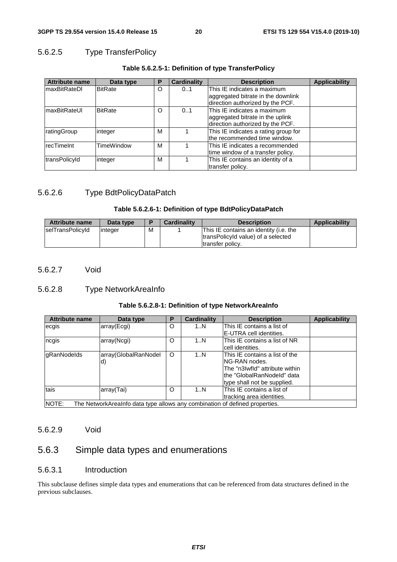### 5.6.2.5 Type TransferPolicy

| <b>Attribute name</b> | Data type         | Р | <b>Cardinality</b> | <b>Description</b>                                                                                  | <b>Applicability</b> |
|-----------------------|-------------------|---|--------------------|-----------------------------------------------------------------------------------------------------|----------------------|
| <b>maxBitRateDI</b>   | <b>BitRate</b>    | O | 01                 | This IE indicates a maximum                                                                         |                      |
|                       |                   |   |                    | aggregated bitrate in the downlink<br>direction authorized by the PCF.                              |                      |
| <b>maxBitRateUI</b>   | <b>BitRate</b>    | O | 0.1                | This IE indicates a maximum<br>aggregated bitrate in the uplink<br>direction authorized by the PCF. |                      |
| <b>ratingGroup</b>    | integer           | M |                    | This IE indicates a rating group for<br>lthe recommended time window.                               |                      |
| IrecTimeInt           | <b>TimeWindow</b> | M |                    | This IE indicates a recommended<br>time window of a transfer policy.                                |                      |
| transPolicyId         | integer           | M |                    | This IE contains an identity of a<br>transfer policy.                                               |                      |

#### **Table 5.6.2.5-1: Definition of type TransferPolicy**

#### 5.6.2.6 Type BdtPolicyDataPatch

#### **Table 5.6.2.6-1: Definition of type BdtPolicyDataPatch**

| <b>Attribute name</b> | Data type |   | <b>Cardinality</b> | <b>Description</b>                                                                                | <b>Applicability</b> |
|-----------------------|-----------|---|--------------------|---------------------------------------------------------------------------------------------------|----------------------|
| selTransPolicyId      | linteger  | М |                    | This IE contains an identity (i.e. the<br>transPolicyId value) of a selected<br>Itransfer policy. |                      |

#### 5.6.2.7 Void

### 5.6.2.8 Type NetworkAreaInfo

#### **Table 5.6.2.8-1: Definition of type NetworkAreaInfo**

| <b>Attribute name</b>                                                                 | Data type            | Р       | <b>Cardinality</b> | <b>Description</b>             | <b>Applicability</b> |
|---------------------------------------------------------------------------------------|----------------------|---------|--------------------|--------------------------------|----------------------|
| ecgis                                                                                 | array(Ecgi)          | O       | 1N                 | This IE contains a list of     |                      |
|                                                                                       |                      |         |                    | E-UTRA cell identities.        |                      |
| ncgis                                                                                 | array(Ncgi)          | O       | 1N                 | This IE contains a list of NR  |                      |
|                                                                                       |                      |         |                    | cell identities.               |                      |
| <b>gRanNodelds</b>                                                                    | array(GlobalRanNodel | $\circ$ | 1N                 | This IE contains a list of the |                      |
|                                                                                       | d)                   |         |                    | NG-RAN nodes.                  |                      |
|                                                                                       |                      |         |                    | The "n3Iwfld" attribute within |                      |
|                                                                                       |                      |         |                    | lthe "GlobalRanNodeId" data    |                      |
|                                                                                       |                      |         |                    | type shall not be supplied.    |                      |
| tais                                                                                  | array(Tai)           | O       | 1N                 | This IE contains a list of     |                      |
|                                                                                       |                      |         |                    | tracking area identities.      |                      |
| INOTE:<br>The NetworkArealnfo data type allows any combination of defined properties. |                      |         |                    |                                |                      |

#### 5.6.2.9 Void

### 5.6.3 Simple data types and enumerations

#### 5.6.3.1 Introduction

This subclause defines simple data types and enumerations that can be referenced from data structures defined in the previous subclauses.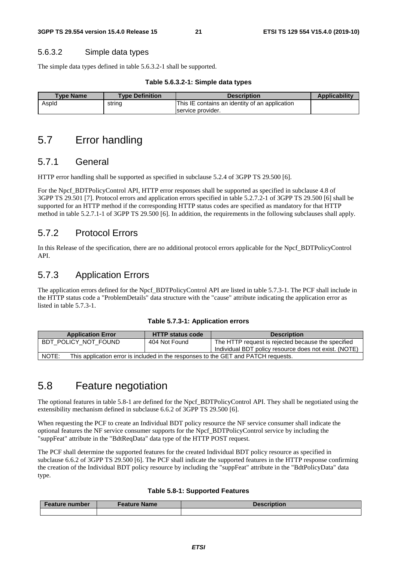#### 5.6.3.2 Simple data types

The simple data types defined in table 5.6.3.2-1 shall be supported.

#### **Table 5.6.3.2-1: Simple data types**

| <b>Type Name</b> | <b>Type Definition</b> | <b>Description</b>                             | <b>Applicability</b> |
|------------------|------------------------|------------------------------------------------|----------------------|
| Aspid            | string                 | This IE contains an identity of an application |                      |
|                  |                        | service provider.                              |                      |

### 5.7 Error handling

#### 5.7.1 General

HTTP error handling shall be supported as specified in subclause 5.2.4 of 3GPP TS 29.500 [6].

For the Npcf\_BDTPolicyControl API, HTTP error responses shall be supported as specified in subclause 4.8 of 3GPP TS 29.501 [7]. Protocol errors and application errors specified in table 5.2.7.2-1 of 3GPP TS 29.500 [6] shall be supported for an HTTP method if the corresponding HTTP status codes are specified as mandatory for that HTTP method in table 5.2.7.1-1 of 3GPP TS 29.500 [6]. In addition, the requirements in the following subclauses shall apply.

### 5.7.2 Protocol Errors

In this Release of the specification, there are no additional protocol errors applicable for the Npcf\_BDTPolicyControl API.

### 5.7.3 Application Errors

The application errors defined for the Npcf\_BDTPolicyControl API are listed in table 5.7.3-1. The PCF shall include in the HTTP status code a "ProblemDetails" data structure with the "cause" attribute indicating the application error as listed in table 5.7.3-1.

#### **Table 5.7.3-1: Application errors**

| <b>Application Error</b>                                                                    | <b>HTTP status code</b> | <b>Description</b>                                                                                          |  |  |
|---------------------------------------------------------------------------------------------|-------------------------|-------------------------------------------------------------------------------------------------------------|--|--|
| BDT POLICY NOT FOUND                                                                        | 404 Not Found           | The HTTP request is rejected because the specified<br>Individual BDT policy resource does not exist. (NOTE) |  |  |
| NOTE:<br>This application error is included in the responses to the GET and PATCH requests. |                         |                                                                                                             |  |  |

### 5.8 Feature negotiation

The optional features in table 5.8-1 are defined for the Npcf\_BDTPolicyControl API. They shall be negotiated using the extensibility mechanism defined in subclause 6.6.2 of 3GPP TS 29.500 [6].

When requesting the PCF to create an Individual BDT policy resource the NF service consumer shall indicate the optional features the NF service consumer supports for the Npcf\_BDTPolicyControl service by including the "suppFeat" attribute in the "BdtReqData" data type of the HTTP POST request.

The PCF shall determine the supported features for the created Individual BDT policy resource as specified in subclause 6.6.2 of 3GPP TS 29.500 [6]. The PCF shall indicate the supported features in the HTTP response confirming the creation of the Individual BDT policy resource by including the "suppFeat" attribute in the "BdtPolicyData" data type.

#### **Table 5.8-1: Supported Features**

| <b>Feature number</b> | <b>Feature Name</b> | Description |
|-----------------------|---------------------|-------------|
|                       |                     |             |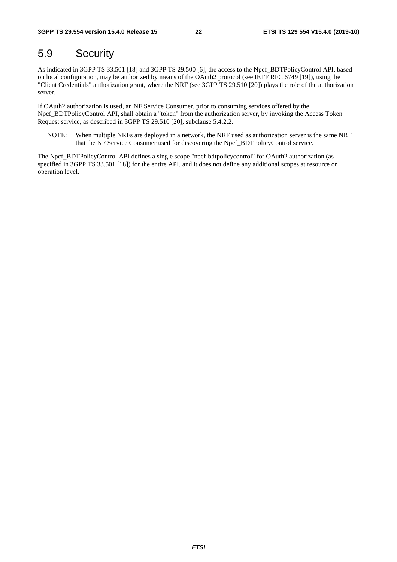### 5.9 Security

As indicated in 3GPP TS 33.501 [18] and 3GPP TS 29.500 [6], the access to the Npcf\_BDTPolicyControl API, based on local configuration, may be authorized by means of the OAuth2 protocol (see IETF RFC 6749 [19]), using the "Client Credentials" authorization grant, where the NRF (see 3GPP TS 29.510 [20]) plays the role of the authorization server.

If OAuth2 authorization is used, an NF Service Consumer, prior to consuming services offered by the Npcf\_BDTPolicyControl API, shall obtain a "token" from the authorization server, by invoking the Access Token Request service, as described in 3GPP TS 29.510 [20], subclause 5.4.2.2.

NOTE: When multiple NRFs are deployed in a network, the NRF used as authorization server is the same NRF that the NF Service Consumer used for discovering the Npcf\_BDTPolicyControl service.

The Npcf\_BDTPolicyControl API defines a single scope "npcf-bdtpolicycontrol" for OAuth2 authorization (as specified in 3GPP TS 33.501 [18]) for the entire API, and it does not define any additional scopes at resource or operation level.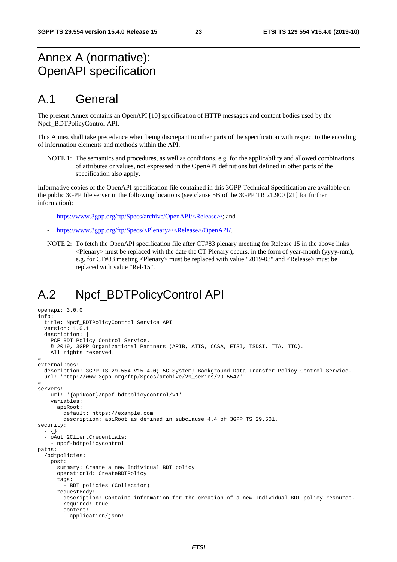# Annex A (normative): OpenAPI specification

# A.1 General

The present Annex contains an OpenAPI [10] specification of HTTP messages and content bodies used by the Npcf\_BDTPolicyControl API.

This Annex shall take precedence when being discrepant to other parts of the specification with respect to the encoding of information elements and methods within the API.

NOTE 1: The semantics and procedures, as well as conditions, e.g. for the applicability and allowed combinations of attributes or values, not expressed in the OpenAPI definitions but defined in other parts of the specification also apply.

Informative copies of the OpenAPI specification file contained in this 3GPP Technical Specification are available on the public 3GPP file server in the following locations (see clause 5B of the 3GPP TR 21.900 [21] for further information):

- [https://www.3gpp.org/ftp/Specs/archive/OpenAPI/<Release>/](https://www.3gpp.org/ftp/Specs/archive/OpenAPI/%3cRelease%3e/); and
- [https://www.3gpp.org/ftp/Specs/<Plenary>/<Release>/OpenAPI/.](https://www.3gpp.org/ftp/Specs/%3cPlenary%3e/%3cRelease%3e/OpenAPI/)
- NOTE 2: To fetch the OpenAPI specification file after CT#83 plenary meeting for Release 15 in the above links <Plenary> must be replaced with the date the CT Plenary occurs, in the form of year-month (yyyy-mm), e.g. for CT#83 meeting <Plenary> must be replaced with value "2019-03" and <Release> must be replaced with value "Rel-15".

# A.2 Npcf\_BDTPolicyControl API

```
openapi: 3.0.0 
info: 
   title: Npcf_BDTPolicyControl Service API 
   version: 1.0.1 
  description:
    PCF BDT Policy Control Service.
     © 2019, 3GPP Organizational Partners (ARIB, ATIS, CCSA, ETSI, TSDSI, TTA, TTC). 
     All rights reserved. 
# 
externalDocs: 
   description: 3GPP TS 29.554 V15.4.0; 5G System; Background Data Transfer Policy Control Service. 
   url: 'http://www.3gpp.org/ftp/Specs/archive/29_series/29.554/' 
# 
servers: 
   - url: '{apiRoot}/npcf-bdtpolicycontrol/v1' 
     variables: 
       apiRoot: 
         default: https://example.com 
         description: apiRoot as defined in subclause 4.4 of 3GPP TS 29.501. 
security: 
   - {} 
   - oAuth2ClientCredentials: 
     - npcf-bdtpolicycontrol 
paths: 
   /bdtpolicies: 
     post: 
       summary: Create a new Individual BDT policy 
       operationId: CreateBDTPolicy 
       tags: 
         - BDT policies (Collection) 
       requestBody: 
         description: Contains information for the creation of a new Individual BDT policy resource. 
         required: true 
         content: 
           application/json:
```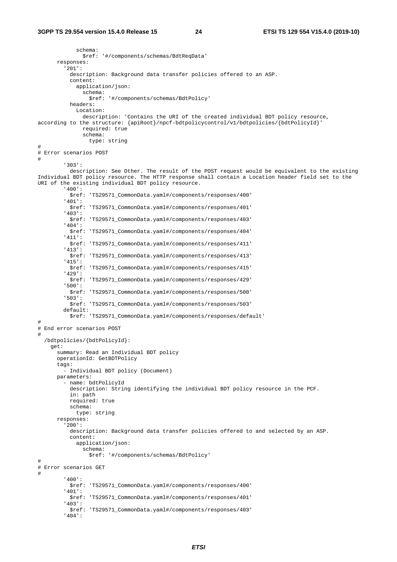schema: \$ref: '#/components/schemas/BdtReqData' responses: '201': description: Background data transfer policies offered to an ASP. content: application/json: schema: \$ref: '#/components/schemas/BdtPolicy' headers: Location: description: 'Contains the URI of the created individual BDT policy resource, according to the structure: {apiRoot}/npcf-bdtpolicycontrol/v1/bdtpolicies/{bdtPolicyId}' required: true schema: type: string # # Error scenarios POST # '303': description: See Other. The result of the POST request would be equivalent to the existing Individual BDT policy resource. The HTTP response shall contain a Location header field set to the URI of the existing individual BDT policy resource. '400': \$ref: 'TS29571\_CommonData.yaml#/components/responses/400' '401': \$ref: 'TS29571\_CommonData.yaml#/components/responses/401' '403': \$ref: 'TS29571\_CommonData.yaml#/components/responses/403' '404': \$ref: 'TS29571\_CommonData.yaml#/components/responses/404' '411': \$ref: 'TS29571\_CommonData.yaml#/components/responses/411' '413': \$ref: 'TS29571\_CommonData.yaml#/components/responses/413' '415': \$ref: 'TS29571\_CommonData.yaml#/components/responses/415' '429': \$ref: 'TS29571\_CommonData.yaml#/components/responses/429' '500': \$ref: 'TS29571\_CommonData.yaml#/components/responses/500' '503': \$ref: 'TS29571\_CommonData.yaml#/components/responses/503' default: \$ref: 'TS29571\_CommonData.yaml#/components/responses/default' # # End error scenarios POST # /bdtpolicies/{bdtPolicyId}: get: summary: Read an Individual BDT policy operationId: GetBDTPolicy tags: - Individual BDT policy (Document) parameters: - name: bdtPolicyId description: String identifying the individual BDT policy resource in the PCF. in: path required: true schema: type: string responses: '200': description: Background data transfer policies offered to and selected by an ASP. content: application/json: schema: \$ref: '#/components/schemas/BdtPolicy' # # Error scenarios GET # '400': \$ref: 'TS29571\_CommonData.yaml#/components/responses/400' '401': \$ref: 'TS29571\_CommonData.yaml#/components/responses/401' '403': \$ref: 'TS29571\_CommonData.yaml#/components/responses/403' '404':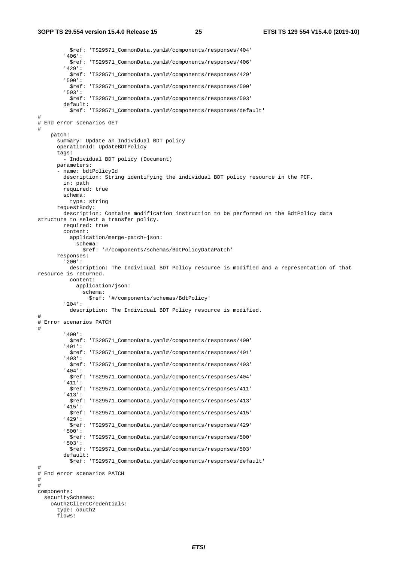\$ref: 'TS29571\_CommonData.yaml#/components/responses/404' '406': \$ref: 'TS29571\_CommonData.yaml#/components/responses/406' '429': \$ref: 'TS29571\_CommonData.yaml#/components/responses/429' '500': \$ref: 'TS29571\_CommonData.yaml#/components/responses/500' '503': \$ref: 'TS29571\_CommonData.yaml#/components/responses/503' default: \$ref: 'TS29571\_CommonData.yaml#/components/responses/default' # # End error scenarios GET # patch: summary: Update an Individual BDT policy operationId: UpdateBDTPolicy tags: - Individual BDT policy (Document) parameters: -<br>- name: bdtPolicyId description: String identifying the individual BDT policy resource in the PCF. in: path required: true schema: type: string requestBody: description: Contains modification instruction to be performed on the BdtPolicy data structure to select a transfer policy. required: true content: application/merge-patch+json: schema: \$ref: '#/components/schemas/BdtPolicyDataPatch' responses: '200': description: The Individual BDT Policy resource is modified and a representation of that resource is returned. content: application/json: schema: \$ref: '#/components/schemas/BdtPolicy' '204': description: The Individual BDT Policy resource is modified. # # Error scenarios PATCH # '400': \$ref: 'TS29571\_CommonData.yaml#/components/responses/400' '401': \$ref: 'TS29571\_CommonData.yaml#/components/responses/401' '403': \$ref: 'TS29571\_CommonData.yaml#/components/responses/403' '404': \$ref: 'TS29571\_CommonData.yaml#/components/responses/404' '411': \$ref: 'TS29571\_CommonData.yaml#/components/responses/411' '413': \$ref: 'TS29571\_CommonData.yaml#/components/responses/413' '415': \$ref: 'TS29571\_CommonData.yaml#/components/responses/415' '429': \$ref: 'TS29571\_CommonData.yaml#/components/responses/429' '500': \$ref: 'TS29571\_CommonData.yaml#/components/responses/500' '503': \$ref: 'TS29571\_CommonData.yaml#/components/responses/503' default: \$ref: 'TS29571\_CommonData.yaml#/components/responses/default' # # End error scenarios PATCH # # components: securitySchemes: oAuth2ClientCredentials: type: oauth2 flows: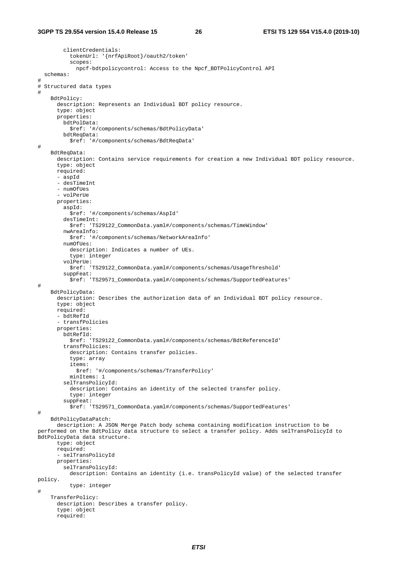```
 clientCredentials: 
           tokenUrl: '{nrfApiRoot}/oauth2/token' 
           scopes: 
              npcf-bdtpolicycontrol: Access to the Npcf_BDTPolicyControl API 
   schemas: 
# 
# Structured data types 
# 
     BdtPolicy: 
       description: Represents an Individual BDT policy resource. 
       type: object 
       properties: 
         bdtPolData: 
           $ref: '#/components/schemas/BdtPolicyData' 
         bdtReqData: 
           $ref: '#/components/schemas/BdtReqData' 
# 
     BdtReqData: 
       description: Contains service requirements for creation a new Individual BDT policy resource. 
       type: object 
       required: 
       - aspId 
       - desTimeInt 
       - numOfUes 
        - volPerUe 
       properties: 
         aspId: 
           $ref: '#/components/schemas/AspId' 
         desTimeInt: 
           $ref: 'TS29122_CommonData.yaml#/components/schemas/TimeWindow' 
         nwAreaInfo: 
           $ref: '#/components/schemas/NetworkAreaInfo' 
         numOfUes: 
          description: Indicates a number of UEs.
           type: integer 
         volPerUe: 
           $ref: 'TS29122_CommonData.yaml#/components/schemas/UsageThreshold' 
         suppFeat: 
           $ref: 'TS29571_CommonData.yaml#/components/schemas/SupportedFeatures' 
# 
     BdtPolicyData: 
       description: Describes the authorization data of an Individual BDT policy resource. 
       type: object 
       required: 
       - bdtRefId 
        - transfPolicies 
       properties: 
         bdtRefId: 
           $ref: 'TS29122_CommonData.yaml#/components/schemas/BdtReferenceId' 
         transfPolicies: 
           description: Contains transfer policies. 
           type: array 
           items: 
              $ref: '#/components/schemas/TransferPolicy' 
           minItems: 1 
         selTransPolicyId: 
           description: Contains an identity of the selected transfer policy. 
           type: integer 
         suppFeat: 
           $ref: 'TS29571_CommonData.yaml#/components/schemas/SupportedFeatures' 
# 
     BdtPolicyDataPatch: 
      description: A JSON Merge Patch body schema containing modification instruction to be 
performed on the BdtPolicy data structure to select a transfer policy. Adds selTransPolicyId to 
BdtPolicyData data structure. 
       type: object 
       required: 
       - selTransPolicyId 
       properties: 
         selTransPolicyId: 
           description: Contains an identity (i.e. transPolicyId value) of the selected transfer 
policy. 
           type: integer 
# 
     TransferPolicy: 
       description: Describes a transfer policy. 
       type: object 
       required:
```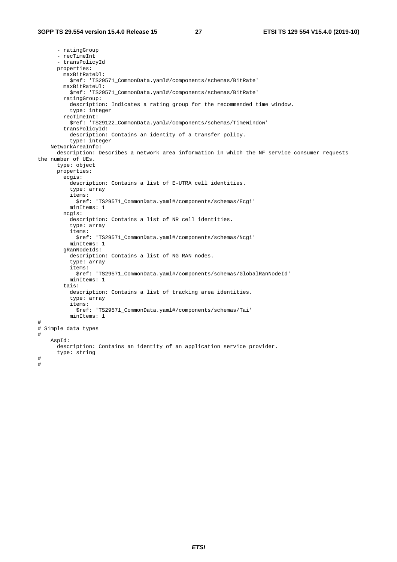- ratingGroup - recTimeInt - transPolicyId properties: maxBitRateDl: \$ref: 'TS29571\_CommonData.yaml#/components/schemas/BitRate' maxBitRateUl: \$ref: 'TS29571\_CommonData.yaml#/components/schemas/BitRate' ratingGroup: description: Indicates a rating group for the recommended time window. type: integer recTimeInt: \$ref: 'TS29122\_CommonData.yaml#/components/schemas/TimeWindow' transPolicyId: description: Contains an identity of a transfer policy. type: integer NetworkAreaInfo: description: Describes a network area information in which the NF service consumer requests the number of UEs. type: object properties: ecgis: description: Contains a list of E-UTRA cell identities. type: array items: \$ref: 'TS29571\_CommonData.yaml#/components/schemas/Ecgi' minItems: 1 ncgis: description: Contains a list of NR cell identities. type: array items: \$ref: 'TS29571\_CommonData.yaml#/components/schemas/Ncgi' minItems: 1 gRanNodeIds: description: Contains a list of NG RAN nodes. type: array items: \$ref: 'TS29571\_CommonData.yaml#/components/schemas/GlobalRanNodeId' minItems: 1 tais: description: Contains a list of tracking area identities. type: array items: \$ref: 'TS29571\_CommonData.yaml#/components/schemas/Tai' minItems: 1 # # Simple data types # AspId: description: Contains an identity of an application service provider. type: string # #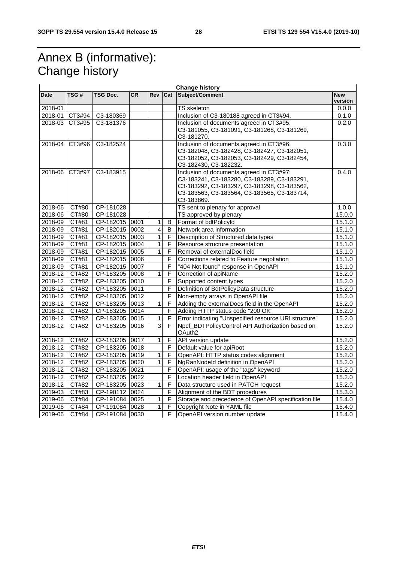# Annex B (informative): Change history

| <b>Change history</b> |                |                |           |                |                |                                                       |                       |
|-----------------------|----------------|----------------|-----------|----------------|----------------|-------------------------------------------------------|-----------------------|
| <b>Date</b>           | TSG#           | TSG Doc.       | <b>CR</b> | Rev Cat        |                | Subject/Comment                                       | <b>New</b><br>version |
| 2018-01               |                |                |           |                |                | TS skeleton                                           | 0.0.0                 |
|                       | 2018-01 CT3#94 | C3-180369      |           |                |                | Inclusion of C3-180188 agreed in CT3#94.              | 0.1.0                 |
|                       | 2018-03 CT3#95 | C3-181376      |           |                |                | Inclusion of documents agreed in CT3#95:              | 0.2.0                 |
|                       |                |                |           |                |                | C3-181055, C3-181091, C3-181268, C3-181269,           |                       |
|                       |                |                |           |                |                | C3-181270.                                            |                       |
|                       | 2018-04 CT3#96 | C3-182524      |           |                |                | Inclusion of documents agreed in CT3#96:              | 0.3.0                 |
|                       |                |                |           |                |                | C3-182048, C3-182428, C3-182427, C3-182051,           |                       |
|                       |                |                |           |                |                | C3-182052, C3-182053, C3-182429, C3-182454,           |                       |
|                       |                |                |           |                |                | C3-182430, C3-182232.                                 |                       |
|                       | 2018-06 CT3#97 | C3-183915      |           |                |                | Inclusion of documents agreed in CT3#97:              | 0.4.0                 |
|                       |                |                |           |                |                | C3-183241, C3-183280, C3-183289, C3-183291,           |                       |
|                       |                |                |           |                |                | C3-183292, C3-183297, C3-183298, C3-183562,           |                       |
|                       |                |                |           |                |                | C3-183563, C3-183564, C3-183565, C3-183714,           |                       |
|                       |                |                |           |                |                | C3-183869.                                            |                       |
| 2018-06               | CT#80          | CP-181028      |           |                |                | TS sent to plenary for approval                       | 1.0.0                 |
| 2018-06               | CT#80          | CP-181028      |           |                |                | TS approved by plenary                                | 15.0.0                |
| 2018-09               | CT#81          | CP-182015 0001 |           | 1              | B              | Format of bdtPolicyId                                 | 15.1.0                |
| 2018-09               | CT#81          | CP-182015 0002 |           | $\overline{4}$ | B              | Network area information                              | 15.1.0                |
| 2018-09               | CT#81          | CP-182015 0003 |           | 1              | F              | Description of Structured data types                  | 15.1.0                |
| 2018-09               | CT#81          | CP-182015 0004 |           | $\mathbf{1}$   | F              | Resource structure presentation                       | 15.1.0                |
| 2018-09               | CT#81          | CP-182015 0005 |           | $\mathbf{1}$   | F              | Removal of externalDoc field                          | 15.1.0                |
| $2018 - 09$           | CT#81          | CP-182015 0006 |           |                | F              | Corrections related to Feature negotiation            | 15.1.0                |
| 2018-09               | CT#81          | CP-182015 0007 |           |                | F              | "404 Not found" response in OpenAPI                   | 15.1.0                |
| $2018 - 12$           | CT#82          | CP-183205 0008 |           | 1              | F              | Correction of apiName                                 | 15.2.0                |
| $2018 - 12$           | CT#82          | CP-183205 0010 |           |                | F              | Supported content types                               | 15.2.0                |
| 2018-12               | CT#82          | CP-183205 0011 |           |                | F              | Definition of BdtPolicyData structure                 | 15.2.0                |
| $2018 - 12$           | CT#82          | CP-183205 0012 |           |                | F              | Non-empty arrays in OpenAPI file                      | 15.2.0                |
| 2018-12               | CT#82          | CP-183205 0013 |           | 1              | F              | Adding the externalDocs field in the OpenAPI          | 15.2.0                |
| 2018-12 CT#82         |                | CP-183205 0014 |           |                | $\overline{F}$ | Adding HTTP status code "200 OK"                      | 15.2.0                |
| 2018-12               | CT#82          | CP-183205 0015 |           | $\mathbf{1}$   | $\overline{F}$ | Error indicating "Unspecified resource URI structure" | 15.2.0                |
| 2018-12               | CT#82          | CP-183205 0016 |           | 3              | F              | Npcf_BDTPolicyControl API Authorization based on      | 15.2.0                |
|                       |                |                |           |                |                | OAuth <sub>2</sub>                                    |                       |
| $2018 - 12$           | CT#82          | CP-183205 0017 |           | $\mathbf{1}$   | $\mathsf F$    | API version update                                    | 15.2.0                |
| 2018-12               | CT#82          | CP-183205 0018 |           |                | F.             | Default value for apiRoot                             | 15.2.0                |
| 2018-12               | CT#82          | CP-183205 0019 |           | $\mathbf{1}$   | F              | OpenAPI: HTTP status codes alignment                  | 15.2.0                |
| $2018 - 12$           | CT#82          | CP-183205 0020 |           | $\mathbf{1}$   | F              | NgRanNodeld definition in OpenAPI                     | 15.2.0                |
| 2018-12               | CT#82          | CP-183205 0021 |           |                | F              | OpenAPI: usage of the "tags" keyword                  | 15.2.0                |
| 2018-12               | CT#82          | CP-183205 0022 |           |                | F              | Location header field in OpenAPI                      | 15.2.0                |
| $2018 - 12$           | CT#82          | CP-183205 0023 |           | 1              | F              | Data structure used in PATCH request                  | 15.2.0                |
| 2019-03               | CT#83          | CP-190112 0024 |           |                | F              | Alignment of the BDT procedures                       | 15.3.0                |
| 2019-06               | CT#84          | CP-191084 0025 |           | 1              | $\overline{F}$ | Storage and precedence of OpenAPI specification file  | 15.4.0                |
| 2019-06               | CT#84          | CP-191084 0028 |           | $\overline{1}$ | $\mathsf F$    | Copyright Note in YAML file                           | 15.4.0                |
| 2019-06               | CT#84          | CP-191084 0030 |           |                | E              | OpenAPI version number update                         | 15.4.0                |